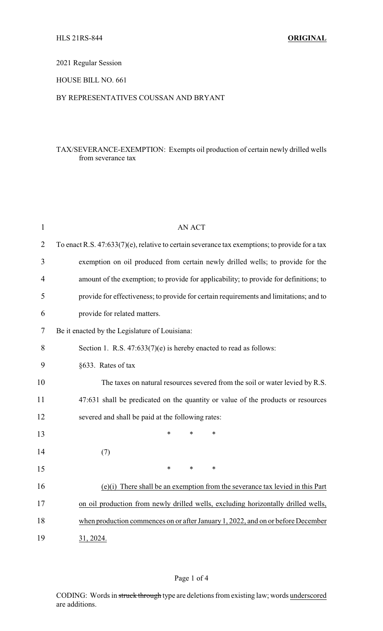## 2021 Regular Session

## HOUSE BILL NO. 661

## BY REPRESENTATIVES COUSSAN AND BRYANT

## TAX/SEVERANCE-EXEMPTION: Exempts oil production of certain newly drilled wells from severance tax

| $\mathbf{1}$   | <b>AN ACT</b>                                                                                  |
|----------------|------------------------------------------------------------------------------------------------|
| $\overline{2}$ | To enact R.S. 47:633(7)(e), relative to certain severance tax exemptions; to provide for a tax |
| 3              | exemption on oil produced from certain newly drilled wells; to provide for the                 |
| 4              | amount of the exemption; to provide for applicability; to provide for definitions; to          |
| 5              | provide for effectiveness; to provide for certain requirements and limitations; and to         |
| 6              | provide for related matters.                                                                   |
| 7              | Be it enacted by the Legislature of Louisiana:                                                 |
| 8              | Section 1. R.S. $47:633(7)(e)$ is hereby enacted to read as follows:                           |
| 9              | §633. Rates of tax                                                                             |
| 10             | The taxes on natural resources severed from the soil or water levied by R.S.                   |
| 11             | 47:631 shall be predicated on the quantity or value of the products or resources               |
| 12             | severed and shall be paid at the following rates:                                              |
| 13             | *<br>*<br>*                                                                                    |
| 14             | (7)                                                                                            |
| 15             | *<br>$\ast$<br>*                                                                               |
| 16             | (e)(i) There shall be an exemption from the severance tax levied in this Part                  |
| 17             | on oil production from newly drilled wells, excluding horizontally drilled wells,              |
| 18             | when production commences on or after January 1, 2022, and on or before December               |
| 19             | 31, 2024.                                                                                      |

#### Page 1 of 4

CODING: Words in struck through type are deletions from existing law; words underscored are additions.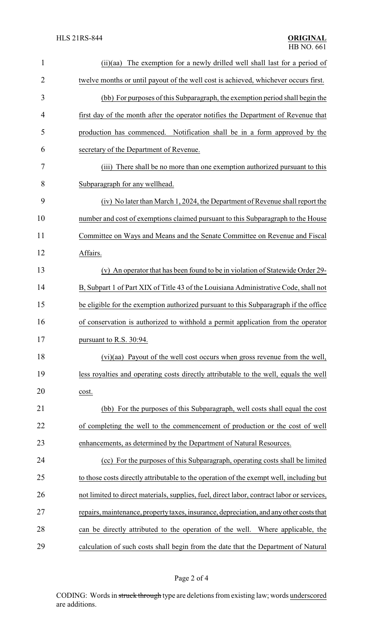| 1              | (ii)(aa) The exemption for a newly drilled well shall last for a period of                 |
|----------------|--------------------------------------------------------------------------------------------|
| $\overline{2}$ | twelve months or until payout of the well cost is achieved, whichever occurs first.        |
| 3              | (bb) For purposes of this Subparagraph, the exemption period shall begin the               |
| 4              | first day of the month after the operator notifies the Department of Revenue that          |
| 5              | production has commenced. Notification shall be in a form approved by the                  |
| 6              | secretary of the Department of Revenue.                                                    |
| 7              | (iii) There shall be no more than one exemption authorized pursuant to this                |
| 8              | Subparagraph for any wellhead.                                                             |
| 9              | (iv) No later than March 1, 2024, the Department of Revenue shall report the               |
| 10             | number and cost of exemptions claimed pursuant to this Subparagraph to the House           |
| 11             | Committee on Ways and Means and the Senate Committee on Revenue and Fiscal                 |
| 12             | Affairs.                                                                                   |
| 13             | (v) An operator that has been found to be in violation of Statewide Order 29-              |
| 14             | B, Subpart 1 of Part XIX of Title 43 of the Louisiana Administrative Code, shall not       |
| 15             | be eligible for the exemption authorized pursuant to this Subparagraph if the office       |
| 16             | of conservation is authorized to withhold a permit application from the operator           |
| 17             | pursuant to R.S. 30:94.                                                                    |
| 18             | (vi)(aa) Payout of the well cost occurs when gross revenue from the well,                  |
| 19             | less royalties and operating costs directly attributable to the well, equals the well      |
| 20             | cost.                                                                                      |
| 21             | (bb) For the purposes of this Subparagraph, well costs shall equal the cost                |
| 22             | of completing the well to the commencement of production or the cost of well               |
| 23             | enhancements, as determined by the Department of Natural Resources.                        |
| 24             | (cc) For the purposes of this Subparagraph, operating costs shall be limited               |
| 25             | to those costs directly attributable to the operation of the exempt well, including but    |
| 26             | not limited to direct materials, supplies, fuel, direct labor, contract labor or services, |
| 27             | repairs, maintenance, property taxes, insurance, depreciation, and any other costs that    |
| 28             | can be directly attributed to the operation of the well. Where applicable, the             |
| 29             | calculation of such costs shall begin from the date that the Department of Natural         |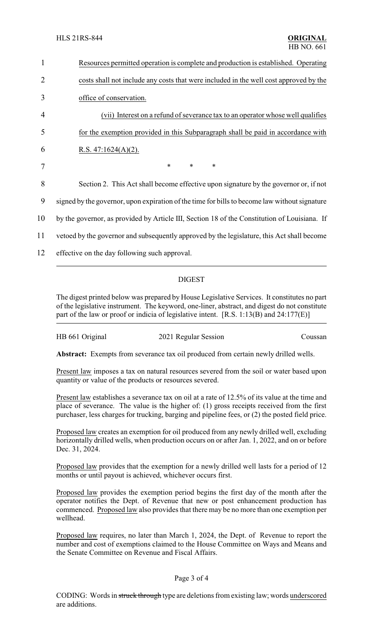| 1  | Resources permitted operation is complete and production is established. Operating            |
|----|-----------------------------------------------------------------------------------------------|
| 2  | costs shall not include any costs that were included in the well cost approved by the         |
| 3  | office of conservation.                                                                       |
| 4  | (vii) Interest on a refund of severance tax to an operator whose well qualifies               |
| 5  | for the exemption provided in this Subparagraph shall be paid in accordance with              |
| 6  | R.S. $47:1624(A)(2)$ .                                                                        |
| 7  | $\ast$<br>$\ast$<br>$\ast$                                                                    |
| 8  | Section 2. This Act shall become effective upon signature by the governor or, if not          |
| 9  | signed by the governor, upon expiration of the time for bills to become law without signature |
| 10 | by the governor, as provided by Article III, Section 18 of the Constitution of Louisiana. If  |
| 11 | vetoed by the governor and subsequently approved by the legislature, this Act shall become    |
| 12 | effective on the day following such approval.                                                 |
|    |                                                                                               |

# DIGEST

The digest printed below was prepared by House Legislative Services. It constitutes no part of the legislative instrument. The keyword, one-liner, abstract, and digest do not constitute part of the law or proof or indicia of legislative intent. [R.S. 1:13(B) and 24:177(E)]

| HB 661 Original<br>2021 Regular Session | Coussan |
|-----------------------------------------|---------|
|-----------------------------------------|---------|

**Abstract:** Exempts from severance tax oil produced from certain newly drilled wells.

Present law imposes a tax on natural resources severed from the soil or water based upon quantity or value of the products or resources severed.

Present law establishes a severance tax on oil at a rate of 12.5% of its value at the time and place of severance. The value is the higher of: (1) gross receipts received from the first purchaser, less charges for trucking, barging and pipeline fees, or (2) the posted field price.

Proposed law creates an exemption for oil produced from any newly drilled well, excluding horizontally drilled wells, when production occurs on or after Jan. 1, 2022, and on or before Dec. 31, 2024.

Proposed law provides that the exemption for a newly drilled well lasts for a period of 12 months or until payout is achieved, whichever occurs first.

Proposed law provides the exemption period begins the first day of the month after the operator notifies the Dept. of Revenue that new or post enhancement production has commenced. Proposed law also provides that there may be no more than one exemption per wellhead.

Proposed law requires, no later than March 1, 2024, the Dept. of Revenue to report the number and cost of exemptions claimed to the House Committee on Ways and Means and the Senate Committee on Revenue and Fiscal Affairs.

#### Page 3 of 4